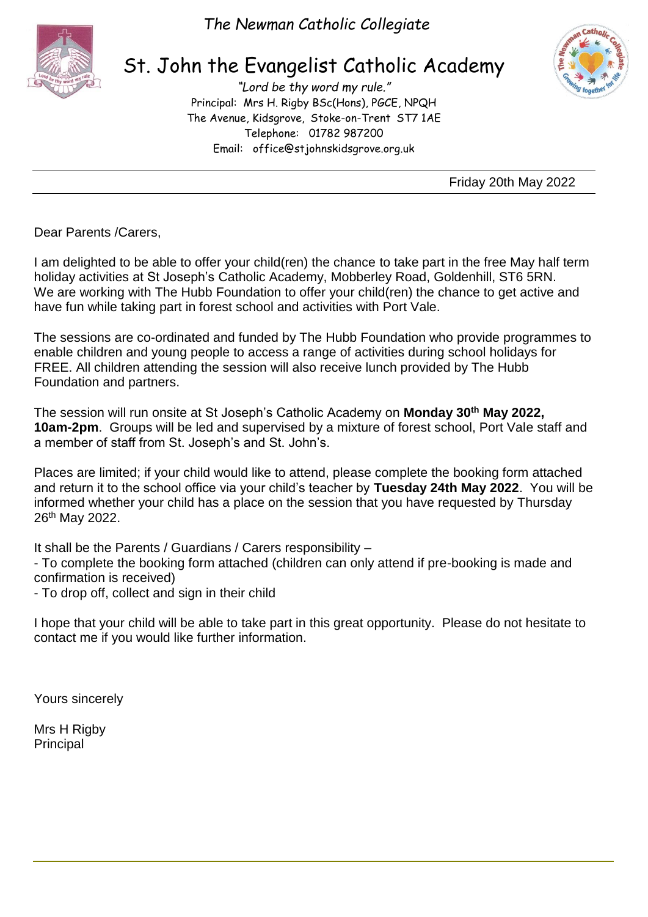

*The Newman Catholic Collegiate*

## St. John the Evangelist Catholic Academy

*"Lord be thy word my rule."* Principal: Mrs H. Rigby BSc(Hons), PGCE, NPQH The Avenue, Kidsgrove, Stoke-on-Trent ST7 1AE Telephone: 01782 987200 Email: [office@stjohnskidsgrove.org.uk](mailto:office@stjohnskidsgrove.org.uk)



Friday 20th May 2022

Dear Parents /Carers,

I am delighted to be able to offer your child(ren) the chance to take part in the free May half term holiday activities at St Joseph's Catholic Academy, Mobberley Road, Goldenhill, ST6 5RN. We are working with The Hubb Foundation to offer your child(ren) the chance to get active and have fun while taking part in forest school and activities with Port Vale.

The sessions are co-ordinated and funded by The Hubb Foundation who provide programmes to enable children and young people to access a range of activities during school holidays for FREE. All children attending the session will also receive lunch provided by The Hubb Foundation and partners.

The session will run onsite at St Joseph's Catholic Academy on **Monday 30th May 2022, 10am-2pm**. Groups will be led and supervised by a mixture of forest school, Port Vale staff and a member of staff from St. Joseph's and St. John's.

Places are limited; if your child would like to attend, please complete the booking form attached and return it to the school office via your child's teacher by **Tuesday 24th May 2022**. You will be informed whether your child has a place on the session that you have requested by Thursday 26th May 2022.

It shall be the Parents / Guardians / Carers responsibility –

- To complete the booking form attached (children can only attend if pre-booking is made and confirmation is received)

- To drop off, collect and sign in their child

I hope that your child will be able to take part in this great opportunity. Please do not hesitate to contact me if you would like further information.

Yours sincerely

Mrs H Rigby Principal